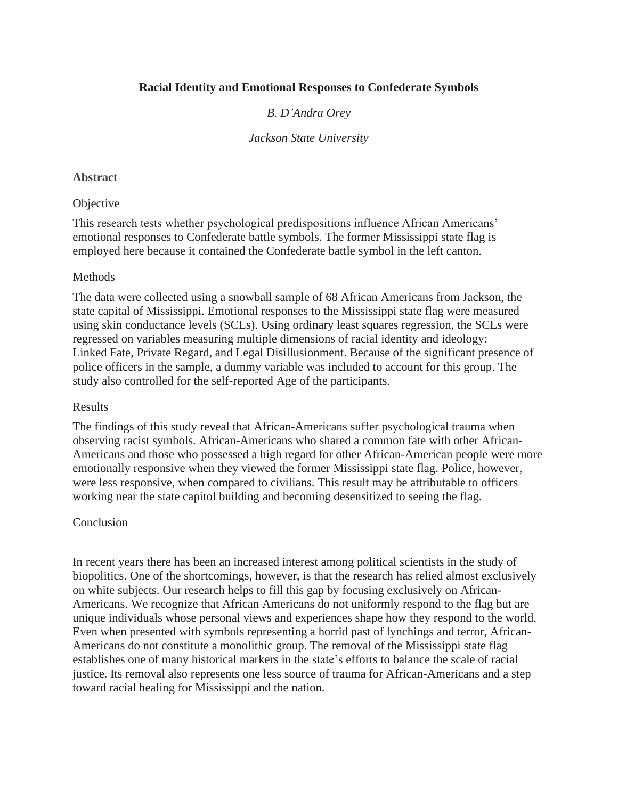# **Racial Identity and Emotional Responses to Confederate Symbols**

# *B. D'Andra Orey*

### *Jackson State University*

### **Abstract**

### **Objective**

This research tests whether psychological predispositions influence African Americans' emotional responses to Confederate battle symbols. The former Mississippi state flag is employed here because it contained the Confederate battle symbol in the left canton.

### Methods

The data were collected using a snowball sample of 68 African Americans from Jackson, the state capital of Mississippi. Emotional responses to the Mississippi state flag were measured using skin conductance levels (SCLs). Using ordinary least squares regression, the SCLs were regressed on variables measuring multiple dimensions of racial identity and ideology: Linked Fate, Private Regard, and Legal Disillusionment. Because of the significant presence of police officers in the sample, a dummy variable was included to account for this group. The study also controlled for the self‐reported Age of the participants.

### Results

The findings of this study reveal that African-Americans suffer psychological trauma when observing racist symbols. African-Americans who shared a common fate with other African-Americans and those who possessed a high regard for other African-American people were more emotionally responsive when they viewed the former Mississippi state flag. Police, however, were less responsive, when compared to civilians. This result may be attributable to officers working near the state capitol building and becoming desensitized to seeing the flag.

### Conclusion

In recent years there has been an increased interest among political scientists in the study of biopolitics. One of the shortcomings, however, is that the research has relied almost exclusively on white subjects. Our research helps to fill this gap by focusing exclusively on African-Americans. We recognize that African Americans do not uniformly respond to the flag but are unique individuals whose personal views and experiences shape how they respond to the world. Even when presented with symbols representing a horrid past of lynchings and terror, African-Americans do not constitute a monolithic group. The removal of the Mississippi state flag establishes one of many historical markers in the state's efforts to balance the scale of racial justice. Its removal also represents one less source of trauma for African-Americans and a step toward racial healing for Mississippi and the nation.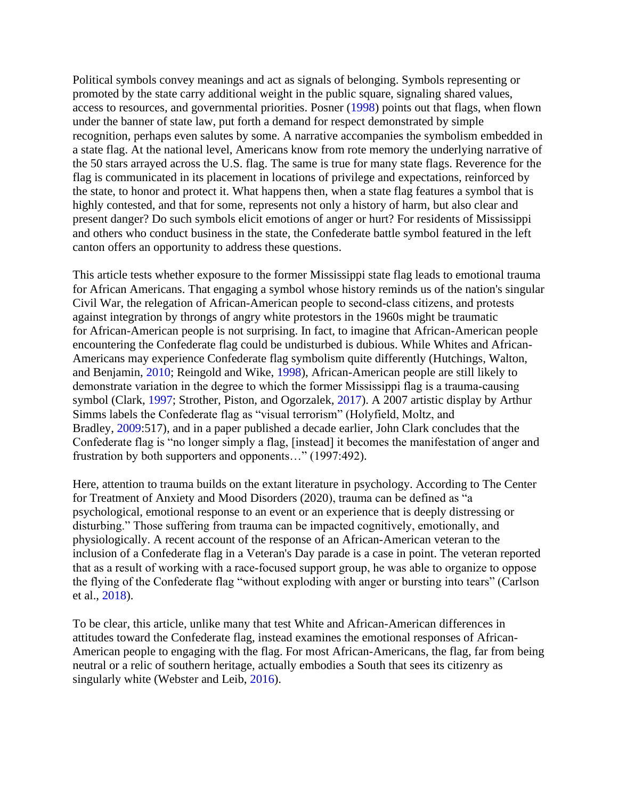Political symbols convey meanings and act as signals of belonging. Symbols representing or promoted by the state carry additional weight in the public square, signaling shared values, access to resources, and governmental priorities. Posner (1998) points out that flags, when flown under the banner of state law, put forth a demand for respect demonstrated by simple recognition, perhaps even salutes by some. A narrative accompanies the symbolism embedded in a state flag. At the national level, Americans know from rote memory the underlying narrative of the 50 stars arrayed across the U.S. flag. The same is true for many state flags. Reverence for the flag is communicated in its placement in locations of privilege and expectations, reinforced by the state, to honor and protect it. What happens then, when a state flag features a symbol that is highly contested, and that for some, represents not only a history of harm, but also clear and present danger? Do such symbols elicit emotions of anger or hurt? For residents of Mississippi and others who conduct business in the state, the Confederate battle symbol featured in the left canton offers an opportunity to address these questions.

This article tests whether exposure to the former Mississippi state flag leads to emotional trauma for African Americans. That engaging a symbol whose history reminds us of the nation's singular Civil War, the relegation of African-American people to second‐class citizens, and protests against integration by throngs of angry white protestors in the 1960s might be traumatic for African-American people is not surprising. In fact, to imagine that African-American people encountering the Confederate flag could be undisturbed is dubious. While Whites and African-Americans may experience Confederate flag symbolism quite differently (Hutchings, Walton, and Benjamin, 2010; Reingold and Wike, 1998), African-American people are still likely to demonstrate variation in the degree to which the former Mississippi flag is a trauma‐causing symbol (Clark, 1997; Strother, Piston, and Ogorzalek, 2017). A 2007 artistic display by Arthur Simms labels the Confederate flag as "visual terrorism" (Holyfield, Moltz, and Bradley, 2009:517), and in a paper published a decade earlier, John Clark concludes that the Confederate flag is "no longer simply a flag, [instead] it becomes the manifestation of anger and frustration by both supporters and opponents…" (1997:492).

Here, attention to trauma builds on the extant literature in psychology. According to The Center for Treatment of Anxiety and Mood Disorders (2020), trauma can be defined as "a psychological, emotional response to an event or an experience that is deeply distressing or disturbing." Those suffering from trauma can be impacted cognitively, emotionally, and physiologically. A recent account of the response of an African-American veteran to the inclusion of a Confederate flag in a Veteran's Day parade is a case in point. The veteran reported that as a result of working with a race‐focused support group, he was able to organize to oppose the flying of the Confederate flag "without exploding with anger or bursting into tears" (Carlson et al., 2018).

To be clear, this article, unlike many that test White and African-American differences in attitudes toward the Confederate flag, instead examines the emotional responses of African-American people to engaging with the flag. For most African-Americans, the flag, far from being neutral or a relic of southern heritage, actually embodies a South that sees its citizenry as singularly white (Webster and Leib, 2016).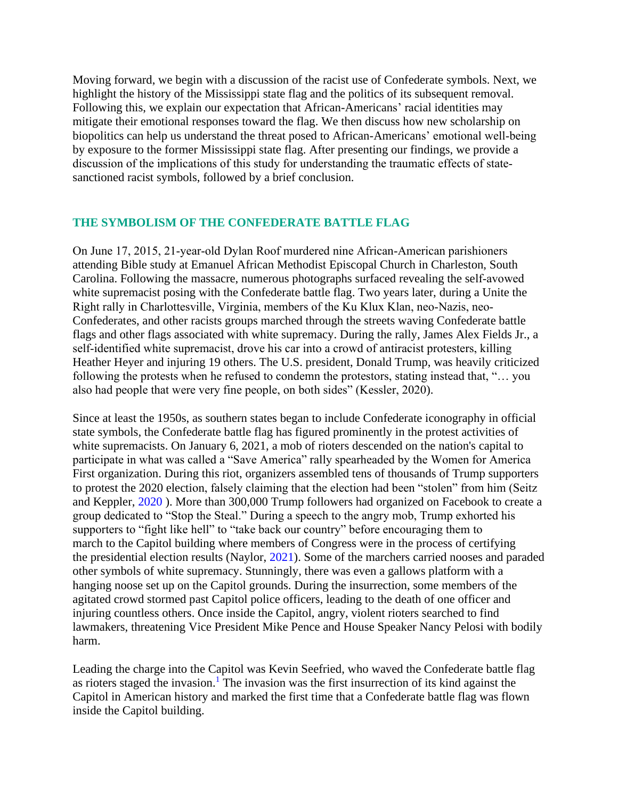Moving forward, we begin with a discussion of the racist use of Confederate symbols. Next, we highlight the history of the Mississippi state flag and the politics of its subsequent removal. Following this, we explain our expectation that African-Americans' racial identities may mitigate their emotional responses toward the flag. We then discuss how new scholarship on biopolitics can help us understand the threat posed to African-Americans' emotional well‐being by exposure to the former Mississippi state flag. After presenting our findings, we provide a discussion of the implications of this study for understanding the traumatic effects of statesanctioned racist symbols, followed by a brief conclusion.

### **THE SYMBOLISM OF THE CONFEDERATE BATTLE FLAG**

On June 17, 2015, 21‐year‐old Dylan Roof murdered nine African‐American parishioners attending Bible study at Emanuel African Methodist Episcopal Church in Charleston, South Carolina. Following the massacre, numerous photographs surfaced revealing the self‐avowed white supremacist posing with the Confederate battle flag. Two years later, during a Unite the Right rally in Charlottesville, Virginia, members of the Ku Klux Klan, neo‐Nazis, neo‐ Confederates, and other racists groups marched through the streets waving Confederate battle flags and other flags associated with white supremacy. During the rally, James Alex Fields Jr., a self-identified white supremacist, drove his car into a crowd of antiracist protesters, killing Heather Heyer and injuring 19 others. The U.S. president, Donald Trump, was heavily criticized following the protests when he refused to condemn the protestors, stating instead that, "… you also had people that were very fine people, on both sides" (Kessler, 2020).

Since at least the 1950s, as southern states began to include Confederate iconography in official state symbols, the Confederate battle flag has figured prominently in the protest activities of white supremacists. On January 6, 2021, a mob of rioters descended on the nation's capital to participate in what was called a "Save America" rally spearheaded by the Women for America First organization. During this riot, organizers assembled tens of thousands of Trump supporters to protest the 2020 election, falsely claiming that the election had been "stolen" from him (Seitz and Keppler, 2020 ). More than 300,000 Trump followers had organized on Facebook to create a group dedicated to "Stop the Steal." During a speech to the angry mob, Trump exhorted his supporters to "fight like hell" to "take back our country" before encouraging them to march to the Capitol building where members of Congress were in the process of certifying the presidential election results (Naylor, 2021). Some of the marchers carried nooses and paraded other symbols of white supremacy. Stunningly, there was even a gallows platform with a hanging noose set up on the Capitol grounds. During the insurrection, some members of the agitated crowd stormed past Capitol police officers, leading to the death of one officer and injuring countless others. Once inside the Capitol, angry, violent rioters searched to find lawmakers, threatening Vice President Mike Pence and House Speaker Nancy Pelosi with bodily harm.

Leading the charge into the Capitol was Kevin Seefried, who waved the Confederate battle flag as rioters staged the invasion.<sup>1</sup> The invasion was the first insurrection of its kind against the Capitol in American history and marked the first time that a Confederate battle flag was flown inside the Capitol building.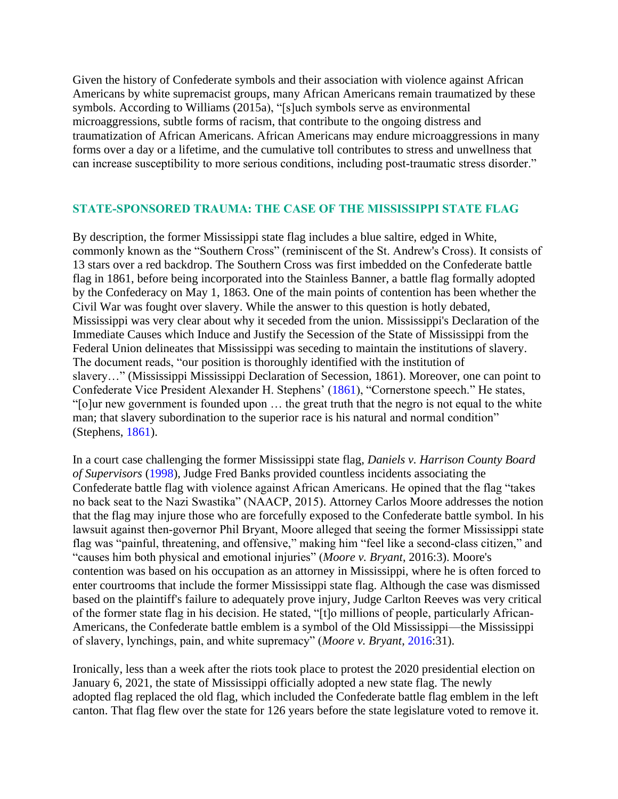Given the history of Confederate symbols and their association with violence against African Americans by white supremacist groups, many African Americans remain traumatized by these symbols. According to Williams (2015a), "[s]uch symbols serve as environmental microaggressions, subtle forms of racism, that contribute to the ongoing distress and traumatization of African Americans. African Americans may endure microaggressions in many forms over a day or a lifetime, and the cumulative toll contributes to stress and unwellness that can increase susceptibility to more serious conditions, including post-traumatic stress disorder."

### **STATE‐SPONSORED TRAUMA: THE CASE OF THE MISSISSIPPI STATE FLAG**

By description, the former Mississippi state flag includes a blue saltire, edged in White, commonly known as the "Southern Cross" (reminiscent of the St. Andrew's Cross). It consists of 13 stars over a red backdrop. The Southern Cross was first imbedded on the Confederate battle flag in 1861, before being incorporated into the Stainless Banner, a battle flag formally adopted by the Confederacy on May 1, 1863. One of the main points of contention has been whether the Civil War was fought over slavery. While the answer to this question is hotly debated, Mississippi was very clear about why it seceded from the union. Mississippi's Declaration of the Immediate Causes which Induce and Justify the Secession of the State of Mississippi from the Federal Union delineates that Mississippi was seceding to maintain the institutions of slavery. The document reads, "our position is thoroughly identified with the institution of slavery…" (Mississippi Mississippi Declaration of Secession, 1861). Moreover, one can point to Confederate Vice President Alexander H. Stephens' (1861), "Cornerstone speech." He states, "[o]ur new government is founded upon … the great truth that the negro is not equal to the white man; that slavery subordination to the superior race is his natural and normal condition" (Stephens, 1861).

In a court case challenging the former Mississippi state flag, *Daniels v. Harrison County Board of Supervisors* (1998), Judge Fred Banks provided countless incidents associating the Confederate battle flag with violence against African Americans. He opined that the flag "takes no back seat to the Nazi Swastika" (NAACP, 2015). Attorney Carlos Moore addresses the notion that the flag may injure those who are forcefully exposed to the Confederate battle symbol. In his lawsuit against then‐governor Phil Bryant, Moore alleged that seeing the former Mississippi state flag was "painful, threatening, and offensive," making him "feel like a second-class citizen," and "causes him both physical and emotional injuries" (*Moore v. Bryant*, 2016:3). Moore's contention was based on his occupation as an attorney in Mississippi, where he is often forced to enter courtrooms that include the former Mississippi state flag. Although the case was dismissed based on the plaintiff's failure to adequately prove injury, Judge Carlton Reeves was very critical of the former state flag in his decision. He stated, "[t]o millions of people, particularly African‐ Americans, the Confederate battle emblem is a symbol of the Old Mississippi—the Mississippi of slavery, lynchings, pain, and white supremacy" (*Moore v. Bryant*, 2016:31).

Ironically, less than a week after the riots took place to protest the 2020 presidential election on January 6, 2021, the state of Mississippi officially adopted a new state flag. The newly adopted flag replaced the old flag, which included the Confederate battle flag emblem in the left canton. That flag flew over the state for 126 years before the state legislature voted to remove it.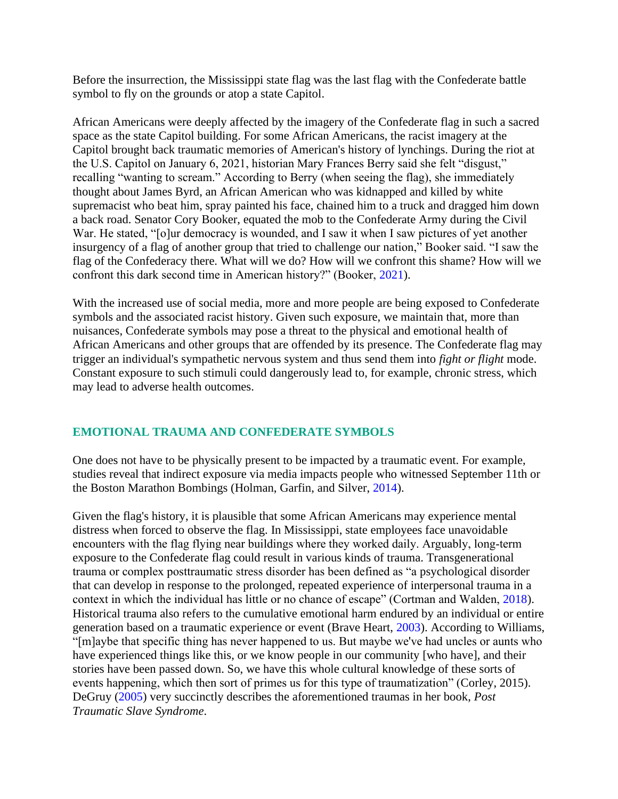Before the insurrection, the Mississippi state flag was the last flag with the Confederate battle symbol to fly on the grounds or atop a state Capitol.

African Americans were deeply affected by the imagery of the Confederate flag in such a sacred space as the state Capitol building. For some African Americans, the racist imagery at the Capitol brought back traumatic memories of American's history of lynchings. During the riot at the U.S. Capitol on January 6, 2021, historian Mary Frances Berry said she felt "disgust," recalling "wanting to scream." According to Berry (when seeing the flag), she immediately thought about James Byrd, an African American who was kidnapped and killed by white supremacist who beat him, spray painted his face, chained him to a truck and dragged him down a back road. Senator Cory Booker, equated the mob to the Confederate Army during the Civil War. He stated, "[o]ur democracy is wounded, and I saw it when I saw pictures of yet another insurgency of a flag of another group that tried to challenge our nation," Booker said. "I saw the flag of the Confederacy there. What will we do? How will we confront this shame? How will we confront this dark second time in American history?" (Booker, 2021).

With the increased use of social media, more and more people are being exposed to Confederate symbols and the associated racist history. Given such exposure, we maintain that, more than nuisances, Confederate symbols may pose a threat to the physical and emotional health of African Americans and other groups that are offended by its presence. The Confederate flag may trigger an individual's sympathetic nervous system and thus send them into *fight or flight* mode. Constant exposure to such stimuli could dangerously lead to, for example, chronic stress, which may lead to adverse health outcomes.

# **EMOTIONAL TRAUMA AND CONFEDERATE SYMBOLS**

One does not have to be physically present to be impacted by a traumatic event. For example, studies reveal that indirect exposure via media impacts people who witnessed September 11th or the Boston Marathon Bombings (Holman, Garfin, and Silver, 2014).

Given the flag's history, it is plausible that some African Americans may experience mental distress when forced to observe the flag. In Mississippi, state employees face unavoidable encounters with the flag flying near buildings where they worked daily. Arguably, long-term exposure to the Confederate flag could result in various kinds of trauma. Transgenerational trauma or complex posttraumatic stress disorder has been defined as "a psychological disorder that can develop in response to the prolonged, repeated experience of interpersonal trauma in a context in which the individual has little or no chance of escape" (Cortman and Walden, 2018). Historical trauma also refers to the cumulative emotional harm endured by an individual or entire generation based on a traumatic experience or event (Brave Heart, 2003). According to Williams, "[m]aybe that specific thing has never happened to us. But maybe we've had uncles or aunts who have experienced things like this, or we know people in our community [who have], and their stories have been passed down. So, we have this whole cultural knowledge of these sorts of events happening, which then sort of primes us for this type of traumatization" (Corley, 2015). DeGruy (2005) very succinctly describes the aforementioned traumas in her book, *Post Traumatic Slave Syndrome*.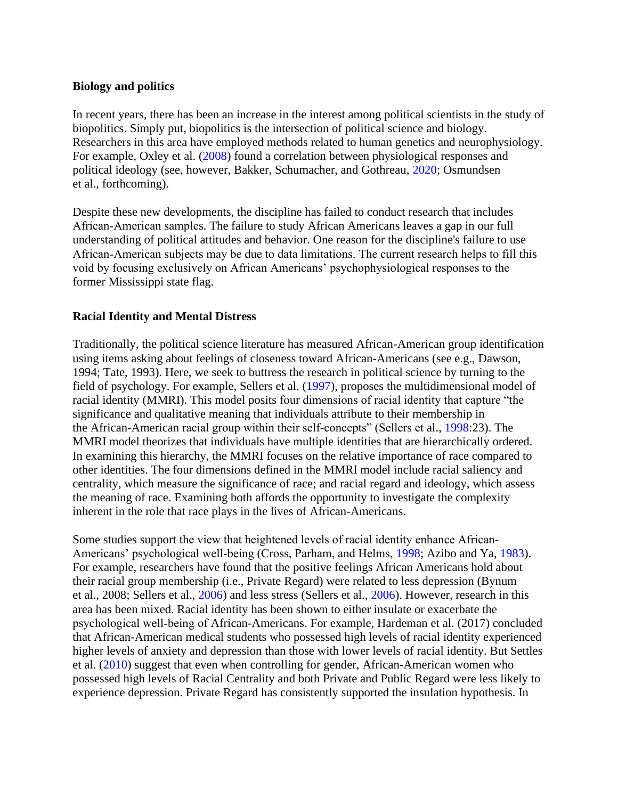# **Biology and politics**

In recent years, there has been an increase in the interest among political scientists in the study of biopolitics. Simply put, biopolitics is the intersection of political science and biology. Researchers in this area have employed methods related to human genetics and neurophysiology. For example, Oxley et al. (2008) found a correlation between physiological responses and political ideology (see, however, Bakker, Schumacher, and Gothreau, 2020; Osmundsen et al., forthcoming).

Despite these new developments, the discipline has failed to conduct research that includes African‐American samples. The failure to study African Americans leaves a gap in our full understanding of political attitudes and behavior. One reason for the discipline's failure to use African‐American subjects may be due to data limitations. The current research helps to fill this void by focusing exclusively on African Americans' psychophysiological responses to the former Mississippi state flag.

# **Racial Identity and Mental Distress**

Traditionally, the political science literature has measured African-American group identification using items asking about feelings of closeness toward African-Americans (see e.g., Dawson, 1994; Tate, 1993). Here, we seek to buttress the research in political science by turning to the field of psychology. For example, Sellers et al. (1997), proposes the multidimensional model of racial identity (MMRI). This model posits four dimensions of racial identity that capture "the significance and qualitative meaning that individuals attribute to their membership in the African-American racial group within their self‐concepts" (Sellers et al., 1998:23). The MMRI model theorizes that individuals have multiple identities that are hierarchically ordered. In examining this hierarchy, the MMRI focuses on the relative importance of race compared to other identities. The four dimensions defined in the MMRI model include racial saliency and centrality, which measure the significance of race; and racial regard and ideology, which assess the meaning of race. Examining both affords the opportunity to investigate the complexity inherent in the role that race plays in the lives of African-Americans.

Some studies support the view that heightened levels of racial identity enhance African-Americans' psychological well-being (Cross, Parham, and Helms, 1998; Azibo and Ya, 1983). For example, researchers have found that the positive feelings African Americans hold about their racial group membership (i.e., Private Regard) were related to less depression (Bynum et al., 2008; Sellers et al., 2006) and less stress (Sellers et al., 2006). However, research in this area has been mixed. Racial identity has been shown to either insulate or exacerbate the psychological well‐being of African-Americans. For example, Hardeman et al. (2017) concluded that African-American medical students who possessed high levels of racial identity experienced higher levels of anxiety and depression than those with lower levels of racial identity. But Settles et al. (2010) suggest that even when controlling for gender, African-American women who possessed high levels of Racial Centrality and both Private and Public Regard were less likely to experience depression. Private Regard has consistently supported the insulation hypothesis. In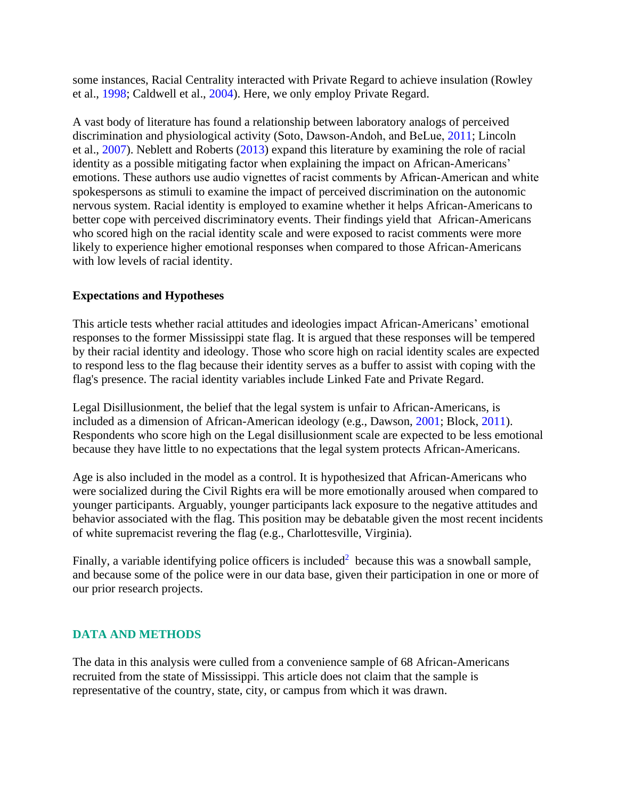some instances, Racial Centrality interacted with Private Regard to achieve insulation (Rowley et al., 1998; Caldwell et al., 2004). Here, we only employ Private Regard.

A vast body of literature has found a relationship between laboratory analogs of perceived discrimination and physiological activity (Soto, Dawson‐Andoh, and BeLue, 2011; Lincoln et al., 2007). Neblett and Roberts (2013) expand this literature by examining the role of racial identity as a possible mitigating factor when explaining the impact on African-Americans' emotions. These authors use audio vignettes of racist comments by African-American and white spokespersons as stimuli to examine the impact of perceived discrimination on the autonomic nervous system. Racial identity is employed to examine whether it helps African-Americans to better cope with perceived discriminatory events. Their findings yield that African-Americans who scored high on the racial identity scale and were exposed to racist comments were more likely to experience higher emotional responses when compared to those African-Americans with low levels of racial identity.

# **Expectations and Hypotheses**

This article tests whether racial attitudes and ideologies impact African-Americans' emotional responses to the former Mississippi state flag. It is argued that these responses will be tempered by their racial identity and ideology. Those who score high on racial identity scales are expected to respond less to the flag because their identity serves as a buffer to assist with coping with the flag's presence. The racial identity variables include Linked Fate and Private Regard.

Legal Disillusionment, the belief that the legal system is unfair to African-Americans, is included as a dimension of African-American ideology (e.g., Dawson, 2001; Block, 2011). Respondents who score high on the Legal disillusionment scale are expected to be less emotional because they have little to no expectations that the legal system protects African-Americans.

Age is also included in the model as a control. It is hypothesized that African-Americans who were socialized during the Civil Rights era will be more emotionally aroused when compared to younger participants. Arguably, younger participants lack exposure to the negative attitudes and behavior associated with the flag. This position may be debatable given the most recent incidents of white supremacist revering the flag (e.g., Charlottesville, Virginia).

Finally, a variable identifying police officers is included<sup>2</sup> because this was a snowball sample, and because some of the police were in our data base, given their participation in one or more of our prior research projects.

# **DATA AND METHODS**

The data in this analysis were culled from a convenience sample of 68 African-Americans recruited from the state of Mississippi. This article does not claim that the sample is representative of the country, state, city, or campus from which it was drawn.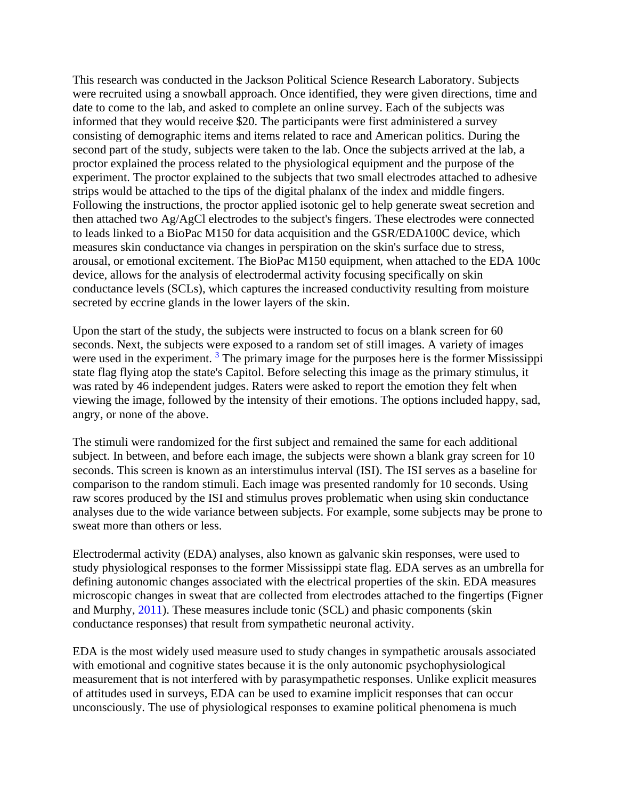This research was conducted in the Jackson Political Science Research Laboratory. Subjects were recruited using a snowball approach. Once identified, they were given directions, time and date to come to the lab, and asked to complete an online survey. Each of the subjects was informed that they would receive \$20. The participants were first administered a survey consisting of demographic items and items related to race and American politics. During the second part of the study, subjects were taken to the lab. Once the subjects arrived at the lab, a proctor explained the process related to the physiological equipment and the purpose of the experiment. The proctor explained to the subjects that two small electrodes attached to adhesive strips would be attached to the tips of the digital phalanx of the index and middle fingers. Following the instructions, the proctor applied isotonic gel to help generate sweat secretion and then attached two Ag/AgCl electrodes to the subject's fingers. These electrodes were connected to leads linked to a BioPac M150 for data acquisition and the GSR/EDA100C device, which measures skin conductance via changes in perspiration on the skin's surface due to stress, arousal, or emotional excitement. The BioPac M150 equipment, when attached to the EDA 100c device, allows for the analysis of electrodermal activity focusing specifically on skin conductance levels (SCLs), which captures the increased conductivity resulting from moisture secreted by eccrine glands in the lower layers of the skin.

Upon the start of the study, the subjects were instructed to focus on a blank screen for 60 seconds. Next, the subjects were exposed to a random set of still images. A variety of images were used in the experiment.<sup>3</sup> The primary image for the purposes here is the former Mississippi state flag flying atop the state's Capitol. Before selecting this image as the primary stimulus, it was rated by 46 independent judges. Raters were asked to report the emotion they felt when viewing the image, followed by the intensity of their emotions. The options included happy, sad, angry, or none of the above.

The stimuli were randomized for the first subject and remained the same for each additional subject. In between, and before each image, the subjects were shown a blank gray screen for 10 seconds. This screen is known as an interstimulus interval (ISI). The ISI serves as a baseline for comparison to the random stimuli. Each image was presented randomly for 10 seconds. Using raw scores produced by the ISI and stimulus proves problematic when using skin conductance analyses due to the wide variance between subjects. For example, some subjects may be prone to sweat more than others or less.

Electrodermal activity (EDA) analyses, also known as galvanic skin responses, were used to study physiological responses to the former Mississippi state flag. EDA serves as an umbrella for defining autonomic changes associated with the electrical properties of the skin. EDA measures microscopic changes in sweat that are collected from electrodes attached to the fingertips (Figner and Murphy, 2011). These measures include tonic (SCL) and phasic components (skin conductance responses) that result from sympathetic neuronal activity.

EDA is the most widely used measure used to study changes in sympathetic arousals associated with emotional and cognitive states because it is the only autonomic psychophysiological measurement that is not interfered with by parasympathetic responses. Unlike explicit measures of attitudes used in surveys, EDA can be used to examine implicit responses that can occur unconsciously. The use of physiological responses to examine political phenomena is much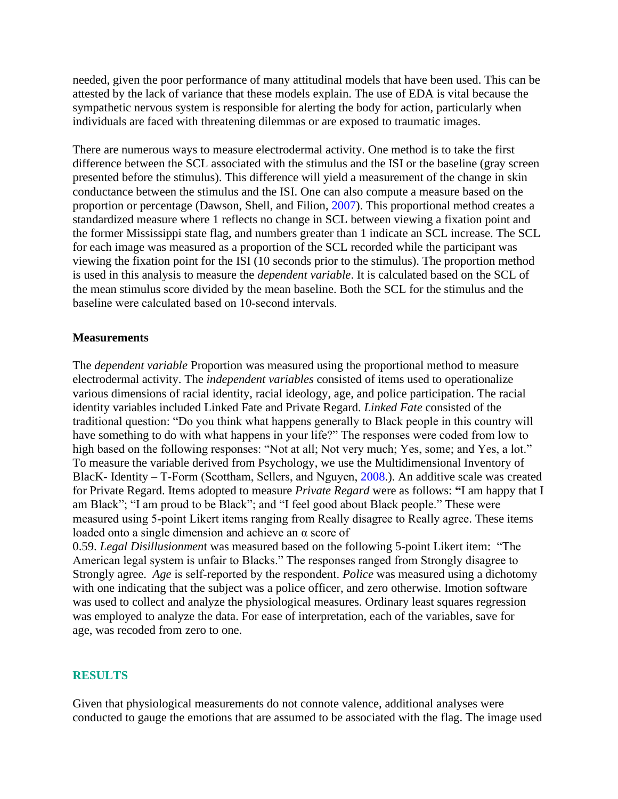needed, given the poor performance of many attitudinal models that have been used. This can be attested by the lack of variance that these models explain. The use of EDA is vital because the sympathetic nervous system is responsible for alerting the body for action, particularly when individuals are faced with threatening dilemmas or are exposed to traumatic images.

There are numerous ways to measure electrodermal activity. One method is to take the first difference between the SCL associated with the stimulus and the ISI or the baseline (gray screen presented before the stimulus). This difference will yield a measurement of the change in skin conductance between the stimulus and the ISI. One can also compute a measure based on the proportion or percentage (Dawson, Shell, and Filion, 2007). This proportional method creates a standardized measure where 1 reflects no change in SCL between viewing a fixation point and the former Mississippi state flag, and numbers greater than 1 indicate an SCL increase. The SCL for each image was measured as a proportion of the SCL recorded while the participant was viewing the fixation point for the ISI (10 seconds prior to the stimulus). The proportion method is used in this analysis to measure the *dependent variable*. It is calculated based on the SCL of the mean stimulus score divided by the mean baseline. Both the SCL for the stimulus and the baseline were calculated based on 10‐second intervals.

### **Measurements**

The *dependent variable* Proportion was measured using the proportional method to measure electrodermal activity. The *independent variables* consisted of items used to operationalize various dimensions of racial identity, racial ideology, age, and police participation. The racial identity variables included Linked Fate and Private Regard. *Linked Fate* consisted of the traditional question: "Do you think what happens generally to Black people in this country will have something to do with what happens in your life?" The responses were coded from low to high based on the following responses: "Not at all; Not very much; Yes, some; and Yes, a lot." To measure the variable derived from Psychology, we use the Multidimensional Inventory of BlacK- Identity – T-Form (Scottham, Sellers, and Nguyen, 2008.). An additive scale was created for Private Regard. Items adopted to measure *Private Regard* were as follows: **"**I am happy that I am Black"; "I am proud to be Black"; and "I feel good about Black people." These were measured using 5‐point Likert items ranging from Really disagree to Really agree. These items loaded onto a single dimension and achieve an α score of

0.59. *Legal Disillusionmen*t was measured based on the following 5-point Likert item: "The American legal system is unfair to Blacks." The responses ranged from Strongly disagree to Strongly agree. *Age* is self‐reported by the respondent. *Police* was measured using a dichotomy with one indicating that the subject was a police officer, and zero otherwise. Imotion software was used to collect and analyze the physiological measures. Ordinary least squares regression was employed to analyze the data. For ease of interpretation, each of the variables, save for age, was recoded from zero to one.

#### **RESULTS**

Given that physiological measurements do not connote valence, additional analyses were conducted to gauge the emotions that are assumed to be associated with the flag. The image used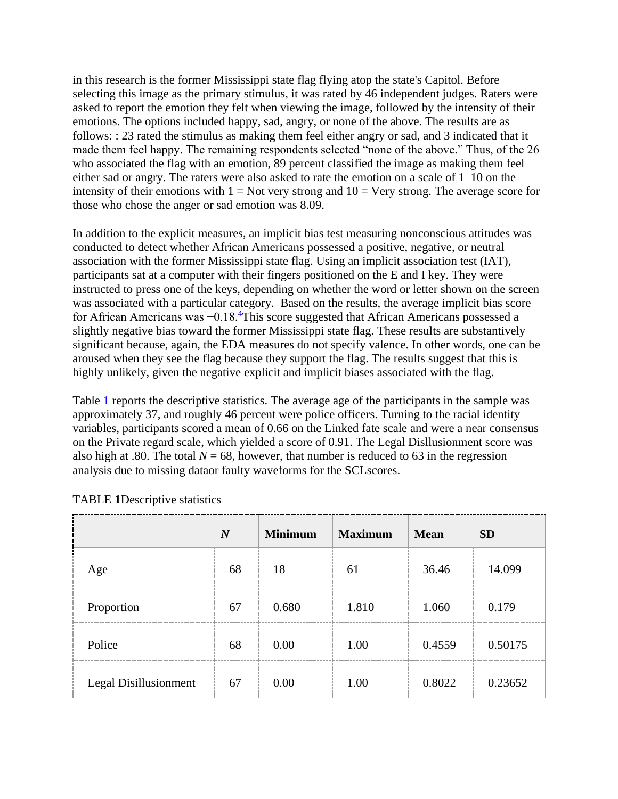in this research is the former Mississippi state flag flying atop the state's Capitol. Before selecting this image as the primary stimulus, it was rated by 46 independent judges. Raters were asked to report the emotion they felt when viewing the image, followed by the intensity of their emotions. The options included happy, sad, angry, or none of the above. The results are as follows: : 23 rated the stimulus as making them feel either angry or sad, and 3 indicated that it made them feel happy. The remaining respondents selected "none of the above." Thus, of the 26 who associated the flag with an emotion, 89 percent classified the image as making them feel either sad or angry. The raters were also asked to rate the emotion on a scale of 1–10 on the intensity of their emotions with  $1 = Not$  very strong and  $10 = Very$  strong. The average score for those who chose the anger or sad emotion was 8.09.

In addition to the explicit measures, an implicit bias test measuring nonconscious attitudes was conducted to detect whether African Americans possessed a positive, negative, or neutral association with the former Mississippi state flag. Using an implicit association test (IAT), participants sat at a computer with their fingers positioned on the E and I key. They were instructed to press one of the keys, depending on whether the word or letter shown on the screen was associated with a particular category. Based on the results, the average implicit bias score for African Americans was −0.18. <sup>4</sup>This score suggested that African Americans possessed a slightly negative bias toward the former Mississippi state flag. These results are substantively significant because, again, the EDA measures do not specify valence. In other words, one can be aroused when they see the flag because they support the flag. The results suggest that this is highly unlikely, given the negative explicit and implicit biases associated with the flag.

Table 1 reports the descriptive statistics. The average age of the participants in the sample was approximately 37, and roughly 46 percent were police officers. Turning to the racial identity variables, participants scored a mean of 0.66 on the Linked fate scale and were a near consensus on the Private regard scale, which yielded a score of 0.91. The Legal Disllusionment score was also high at .80. The total  $N = 68$ , however, that number is reduced to 63 in the regression analysis due to missing dataor faulty waveforms for the SCLscores.

|                       | $\boldsymbol{N}$ | <b>Minimum</b> | <b>Maximum</b> | <b>Mean</b> | <b>SD</b> |
|-----------------------|------------------|----------------|----------------|-------------|-----------|
| Age                   | 68               | 18             | 61             | 36.46       | 14.099    |
| Proportion            | 67               | 0.680          | 1.810          | 1.060       | 0.179     |
| Police                | 68               | 0.00           | 1.00           | 0.4559      | 0.50175   |
| Legal Disillusionment | 67               | 0.00           | 1.00           | 0.8022      | 0.23652   |

### TABLE **1**Descriptive statistics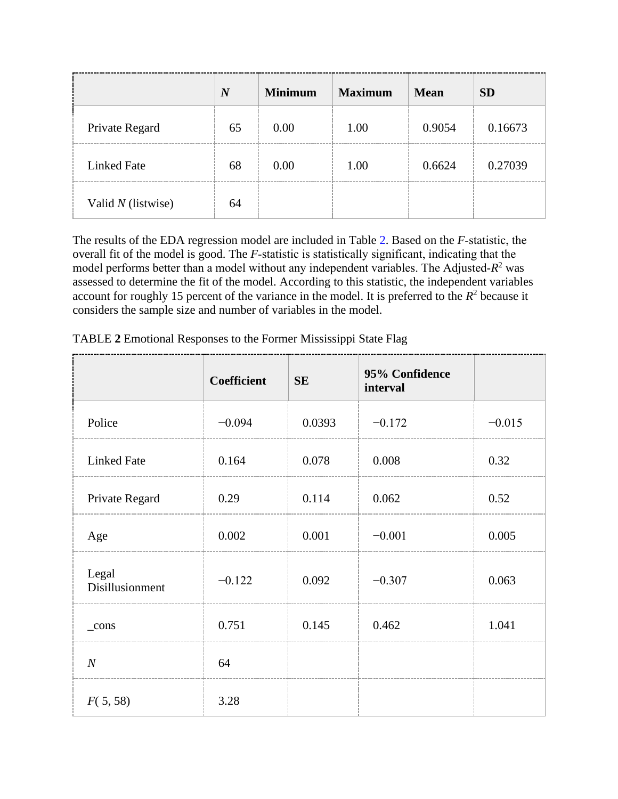|                    | $\boldsymbol{N}$ | <b>Minimum</b> | <b>Maximum</b> | <b>Mean</b> | <b>SD</b> |
|--------------------|------------------|----------------|----------------|-------------|-----------|
| Private Regard     | 65               | 0.00           | 1.00           | 0.9054      | 0.16673   |
| <b>Linked Fate</b> | 68               | 0.00           | 1.00           | 0.6624      | 0.27039   |
| Valid N (listwise) | 64               |                |                |             |           |

The results of the EDA regression model are included in Table 2. Based on the *F*‐statistic, the overall fit of the model is good. The *F*‐statistic is statistically significant, indicating that the model performs better than a model without any independent variables. The Adjusted- $R^2$  was assessed to determine the fit of the model. According to this statistic, the independent variables account for roughly 15 percent of the variance in the model. It is preferred to the  $R^2$  because it considers the sample size and number of variables in the model.

|                          | Coefficient | <b>SE</b> | 95% Confidence<br>interval |          |
|--------------------------|-------------|-----------|----------------------------|----------|
| Police                   | $-0.094$    | 0.0393    | $-0.172$                   | $-0.015$ |
| <b>Linked Fate</b>       | 0.164       | 0.078     | 0.008                      | 0.32     |
| Private Regard           | 0.29        | 0.114     | 0.062                      | 0.52     |
| Age                      | 0.002       | 0.001     | $-0.001$                   | 0.005    |
| Legal<br>Disillusionment | $-0.122$    | 0.092     | $-0.307$                   | 0.063    |
| $_{\rm cons}$            | 0.751       | 0.145     | 0.462                      | 1.041    |
| $\overline{N}$           | 64          |           |                            |          |
| F(5, 58)                 | 3.28        |           |                            |          |

TABLE **2** Emotional Responses to the Former Mississippi State Flag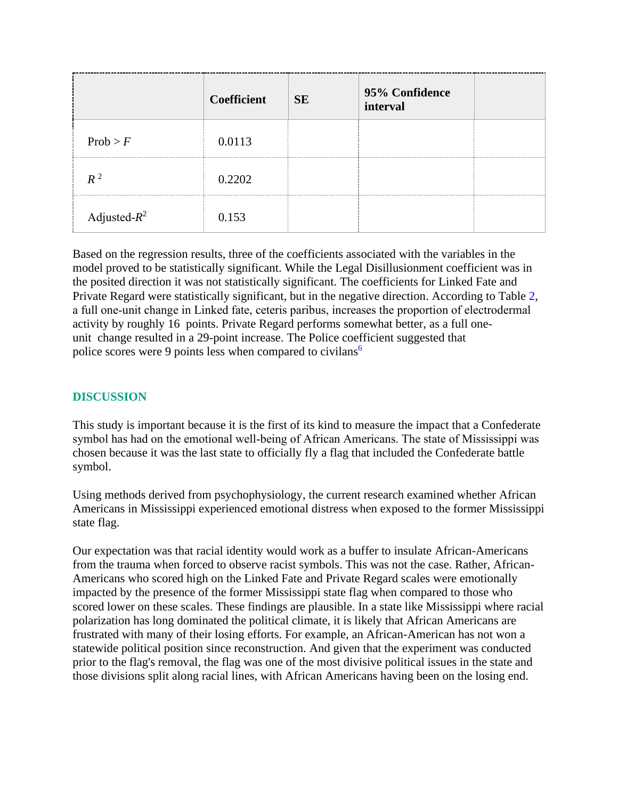|                 | <b>Coefficient</b> | <b>SE</b> | 95% Confidence<br>interval |  |
|-----------------|--------------------|-----------|----------------------------|--|
| Prob > F        | 0.0113             |           |                            |  |
| $R^2$           | 0.2202             |           |                            |  |
| Adjusted- $R^2$ | 0.153              |           |                            |  |

Based on the regression results, three of the coefficients associated with the variables in the model proved to be statistically significant. While the Legal Disillusionment coefficient was in the posited direction it was not statistically significant. The coefficients for Linked Fate and Private Regard were statistically significant, but in the negative direction. According to Table 2, a full one‐unit change in Linked fate, ceteris paribus, increases the proportion of electrodermal activity by roughly 16 points. Private Regard performs somewhat better, as a full oneunit change resulted in a 29-point increase. The Police coefficient suggested that police scores were 9 points less when compared to civilans<sup>6</sup>

# **DISCUSSION**

This study is important because it is the first of its kind to measure the impact that a Confederate symbol has had on the emotional well-being of African Americans. The state of Mississippi was chosen because it was the last state to officially fly a flag that included the Confederate battle symbol.

Using methods derived from psychophysiology, the current research examined whether African Americans in Mississippi experienced emotional distress when exposed to the former Mississippi state flag.

Our expectation was that racial identity would work as a buffer to insulate African-Americans from the trauma when forced to observe racist symbols. This was not the case. Rather, African-Americans who scored high on the Linked Fate and Private Regard scales were emotionally impacted by the presence of the former Mississippi state flag when compared to those who scored lower on these scales. These findings are plausible. In a state like Mississippi where racial polarization has long dominated the political climate, it is likely that African Americans are frustrated with many of their losing efforts. For example, an African-American has not won a statewide political position since reconstruction. And given that the experiment was conducted prior to the flag's removal, the flag was one of the most divisive political issues in the state and those divisions split along racial lines, with African Americans having been on the losing end.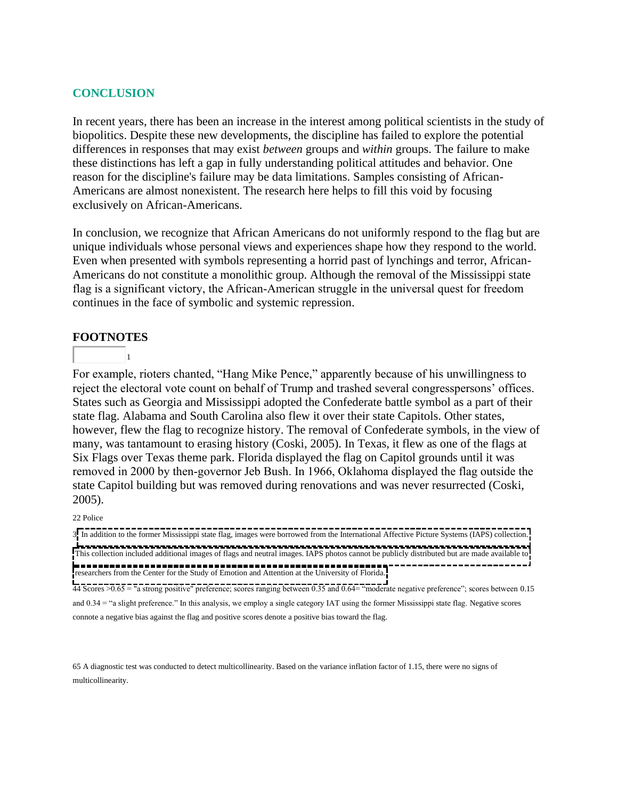### **CONCLUSION**

In recent years, there has been an increase in the interest among political scientists in the study of biopolitics. Despite these new developments, the discipline has failed to explore the potential differences in responses that may exist *between* groups and *within* groups. The failure to make these distinctions has left a gap in fully understanding political attitudes and behavior. One reason for the discipline's failure may be data limitations. Samples consisting of African-Americans are almost nonexistent. The research here helps to fill this void by focusing exclusively on African-Americans.

In conclusion, we recognize that African Americans do not uniformly respond to the flag but are unique individuals whose personal views and experiences shape how they respond to the world. Even when presented with symbols representing a horrid past of lynchings and terror, African-Americans do not constitute a monolithic group. Although the removal of the Mississippi state flag is a significant victory, the African-American struggle in the universal quest for freedom continues in the face of symbolic and systemic repression.

### **FOOTNOTES**

1

For example, rioters chanted, "Hang Mike Pence," apparently because of his unwillingness to reject the electoral vote count on behalf of Trump and trashed several congresspersons' offices. States such as Georgia and Mississippi adopted the Confederate battle symbol as a part of their state flag. Alabama and South Carolina also flew it over their state Capitols. Other states, however, flew the flag to recognize history. The removal of Confederate symbols, in the view of many, was tantamount to erasing history (Coski, 2005). In Texas, it flew as one of the flags at Six Flags over Texas theme park. Florida displayed the flag on Capitol grounds until it was removed in 2000 by then‐governor Jeb Bush. In 1966, Oklahoma displayed the flag outside the state Capitol building but was removed during renovations and was never resurrected (Coski, 2005).

#### 22 Police

3 In addition to the former Mississippi state flag, images were borrowed from the International Affective Picture Systems (IAPS) collection. This collection included additional images of flags and neutral images. IAPS photos cannot be publicly distributed but are made available to **researchers from the Center for the Study of Emotion and Attention at the University of Florida.**<br>Thesearchers from the Center for the Study of Emotion and Attention at the University of Florida.

44 Scores >0.65 = "a strong positive" preference; scores ranging between 0.35 and 0.64= "moderate negative preference"; scores between 0.15 and 0.34 = "a slight preference." In this analysis, we employ a single category IAT using the former Mississippi state flag. Negative scores connote a negative bias against the flag and positive scores denote a positive bias toward the flag.

65 A diagnostic test was conducted to detect multicollinearity. Based on the variance inflation factor of 1.15, there were no signs of multicollinearity.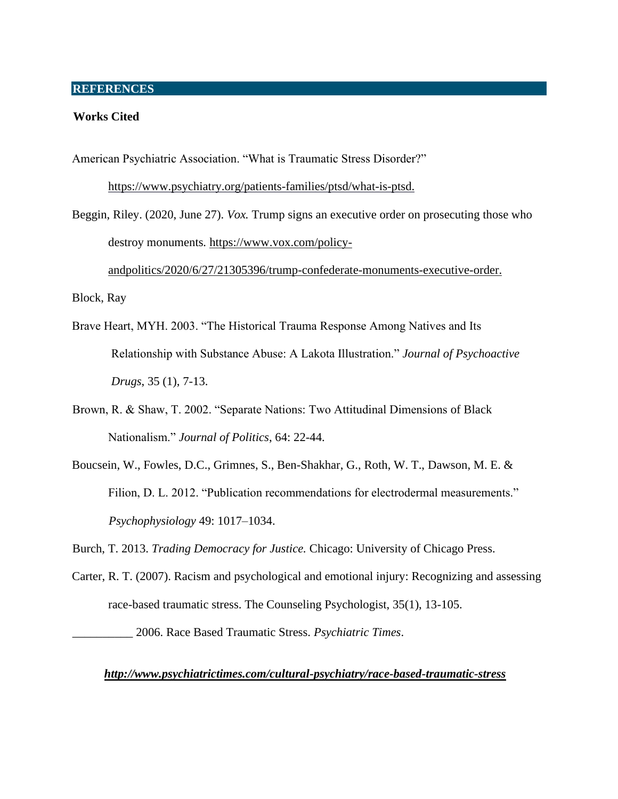### **REFERENCES**

#### **Works Cited**

American Psychiatric Association. "What is Traumatic Stress Disorder?"

https://www.psychiatry.org/patients-families/ptsd/what-is-ptsd.

Beggin, Riley. (2020, June 27). *Vox.* Trump signs an executive order on prosecuting those who destroy monuments*.* https://www.vox.com/policy-

andpolitics/2020/6/27/21305396/trump-confederate-monuments-executive-order.

Block, Ray

- Brave Heart, MYH. 2003. "The Historical Trauma Response Among Natives and Its Relationship with Substance Abuse: A Lakota Illustration." *Journal of Psychoactive Drugs*, 35 (1), 7-13.
- Brown, R. & Shaw, T. 2002. "Separate Nations: Two Attitudinal Dimensions of Black Nationalism." *Journal of Politics*, 64: 22-44.
- Boucsein, W., Fowles, D.C., Grimnes, S., Ben-Shakhar, G., Roth, W. T., Dawson, M. E. & Filion, D. L. 2012. "Publication recommendations for electrodermal measurements." *Psychophysiology* 49: 1017–1034.

Burch, T. 2013. *Trading Democracy for Justice.* Chicago: University of Chicago Press.

Carter, R. T. (2007). Racism and psychological and emotional injury: Recognizing and assessing race-based traumatic stress. The Counseling Psychologist, 35(1), 13-105.

\_\_\_\_\_\_\_\_\_\_ 2006. Race Based Traumatic Stress. *Psychiatric Times*.

#### *http://www.psychiatrictimes.com/cultural-psychiatry/race-based-traumatic-stress*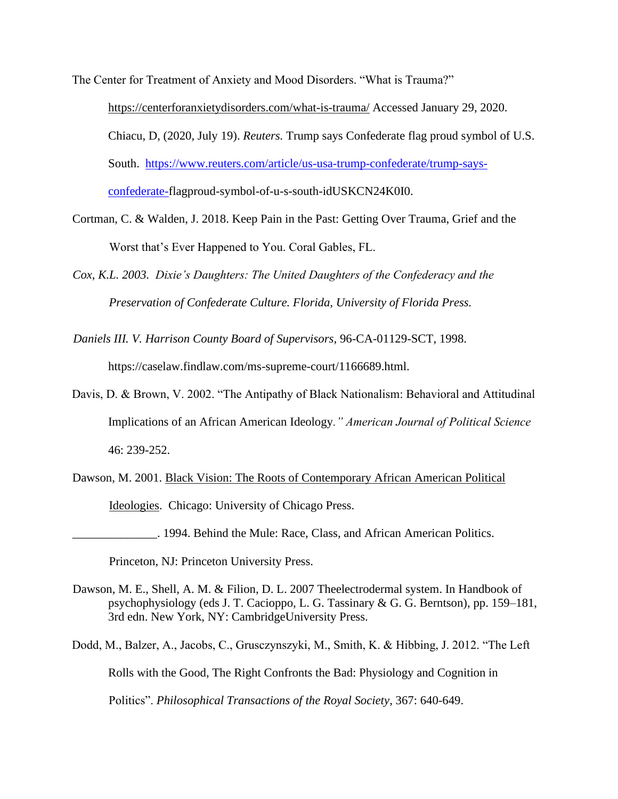The Center for Treatment of Anxiety and Mood Disorders. "What is Trauma?" https://centerforanxietydisorders.com/what-is-trauma/ Accessed January 29, 2020. Chiacu, D, (2020, July 19). *Reuters.* Trump says Confederate flag proud symbol of U.S. South. [https://www.reuters.com/article/us-usa-trump-confederate/trump-says](https://www.reuters.com/article/us-usa-trump-confederate/trump-says-confederate-)[confederate-f](https://www.reuters.com/article/us-usa-trump-confederate/trump-says-confederate-)lagproud-symbol-of-u-s-south-idUSKCN24K0I0.

Cortman, C. & Walden, J. 2018. Keep Pain in the Past: Getting Over Trauma, Grief and the Worst that's Ever Happened to You. Coral Gables, FL.

*Cox, K.L. 2003. Dixie's Daughters: The United Daughters of the Confederacy and the Preservation of Confederate Culture. Florida, University of Florida Press.* 

- *Daniels III. V. Harrison County Board of Supervisors*, 96-CA-01129-SCT, 1998. https://caselaw.findlaw.com/ms-supreme-court/1166689.html.
- Davis, D. & Brown, V. 2002. "The Antipathy of Black Nationalism: Behavioral and Attitudinal Implications of an African American Ideology*." American Journal of Political Science* 46: 239-252.

Dawson, M. 2001. Black Vision: The Roots of Contemporary African American Political Ideologies. Chicago: University of Chicago Press.

\_\_\_\_\_\_\_\_\_\_\_\_\_\_. 1994. Behind the Mule: Race, Class, and African American Politics.

Princeton, NJ: Princeton University Press.

Dawson, M. E., Shell, A. M. & Filion, D. L. 2007 Theelectrodermal system. In Handbook of psychophysiology (eds J. T. Cacioppo, L. G. Tassinary & G. G. Berntson), pp. 159–181, 3rd edn. New York, NY: CambridgeUniversity Press.

Dodd, M., Balzer, A., Jacobs, C., Grusczynszyki, M., Smith, K. & Hibbing, J. 2012. "The Left Rolls with the Good, The Right Confronts the Bad: Physiology and Cognition in Politics". *Philosophical Transactions of the Royal Society*, 367: 640-649.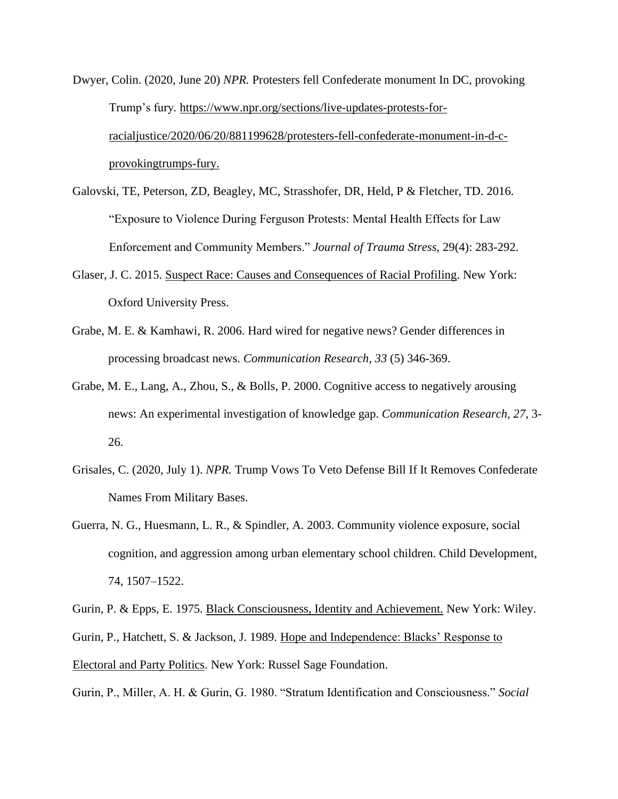- Dwyer, Colin. (2020, June 20) *NPR.* Protesters fell Confederate monument In DC, provoking Trump's fury*.* https://www.npr.org/sections/live-updates-protests-forracialjustice/2020/06/20/881199628/protesters-fell-confederate-monument-in-d-cprovokingtrumps-fury.
- Galovski, TE, Peterson, ZD, Beagley, MC, Strasshofer, DR, Held, P & Fletcher, TD. 2016. "Exposure to Violence During Ferguson Protests: Mental Health Effects for Law Enforcement and Community Members." *Journal of Trauma Stress*, 29(4): 283-292.
- Glaser, J. C. 2015. Suspect Race: Causes and Consequences of Racial Profiling. New York: Oxford University Press.
- Grabe, M. E. & Kamhawi, R. 2006. Hard wired for negative news? Gender differences in processing broadcast news. *Communication Research, 33* (5) 346-369.
- Grabe, M. E., Lang, A., Zhou, S., & Bolls, P. 2000. Cognitive access to negatively arousing news: An experimental investigation of knowledge gap. *Communication Research, 27*, 3- 26.
- Grisales, C. (2020, July 1). *NPR.* Trump Vows To Veto Defense Bill If It Removes Confederate Names From Military Bases.
- Guerra, N. G., Huesmann, L. R., & Spindler, A. 2003. Community violence exposure, social cognition, and aggression among urban elementary school children. Child Development, 74, 1507–1522.

Gurin, P. & Epps, E. 1975. Black Consciousness, Identity and Achievement. New York: Wiley. Gurin, P., Hatchett, S. & Jackson, J. 1989. Hope and Independence: Blacks' Response to Electoral and Party Politics. New York: Russel Sage Foundation.

Gurin, P., Miller, A. H. & Gurin, G. 1980. "Stratum Identification and Consciousness." *Social*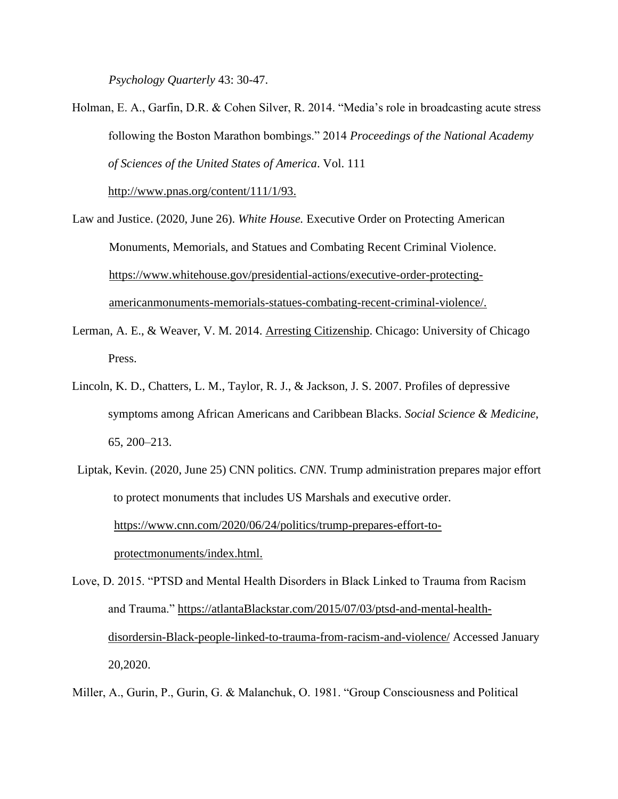*Psychology Quarterly* 43: 30-47.

Holman, E. A., Garfin, D.R. & Cohen Silver, R. 2014. "Media's role in broadcasting acute stress following the Boston Marathon bombings." 2014 *Proceedings of the National Academy of Sciences of the United States of America*. Vol. 111

http://www.pnas.org/content/111/1/93.

- Law and Justice. (2020, June 26). *White House.* Executive Order on Protecting American Monuments, Memorials, and Statues and Combating Recent Criminal Violence. https://www.whitehouse.gov/presidential-actions/executive-order-protectingamericanmonuments-memorials-statues-combating-recent-criminal-violence/.
- Lerman, A. E., & Weaver, V. M. 2014. Arresting Citizenship. Chicago: University of Chicago Press.
- Lincoln, K. D., Chatters, L. M., Taylor, R. J., & Jackson, J. S. 2007. Profiles of depressive symptoms among African Americans and Caribbean Blacks. *Social Science & Medicine*, 65, 200–213.
- Liptak, Kevin. (2020, June 25) CNN politics. *CNN.* Trump administration prepares major effort to protect monuments that includes US Marshals and executive order. https://www.cnn.com/2020/06/24/politics/trump-prepares-effort-toprotectmonuments/index.html.
- Love, D. 2015. "PTSD and Mental Health Disorders in Black Linked to Trauma from Racism and Trauma." https://atlantaBlackstar.com/2015/07/03/ptsd-and-mental-healthdisordersin-Black-people-linked-to-trauma-from-racism-and-violence/ Accessed January 20,2020.

Miller, A., Gurin, P., Gurin, G. & Malanchuk, O. 1981. "Group Consciousness and Political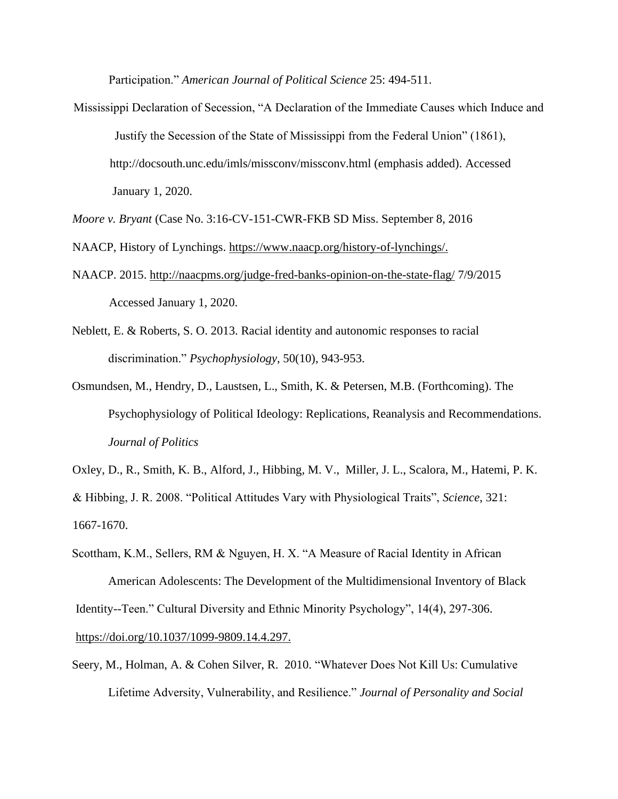Participation." *American Journal of Political Science* 25: 494-511.

- Mississippi Declaration of Secession, "A Declaration of the Immediate Causes which Induce and Justify the Secession of the State of Mississippi from the Federal Union" (1861), http://docsouth.unc.edu/imls/missconv/missconv.html (emphasis added). Accessed January 1, 2020.
- *Moore v. Bryant* (Case No. 3:16-CV-151-CWR-FKB SD Miss. September 8, 2016

NAACP, History of Lynchings. https://www.naacp.org/history-of-lynchings/.

- NAACP. 2015. http://naacpms.org/judge-fred-banks-opinion-on-the-state-flag/ 7/9/2015 Accessed January 1, 2020.
- Neblett, E. & Roberts, S. O. 2013. Racial identity and autonomic responses to racial discrimination." *Psychophysiology*, 50(10), 943-953.
- Osmundsen, M., Hendry, D., Laustsen, L., Smith, K. & Petersen, M.B. (Forthcoming). The Psychophysiology of Political Ideology: Replications, Reanalysis and Recommendations. *Journal of Politics*

Oxley, D., R., Smith, K. B., Alford, J., Hibbing, M. V., Miller, J. L., Scalora, M., Hatemi, P. K. & Hibbing, J. R. 2008. "Political Attitudes Vary with Physiological Traits", *Science*, 321: 1667-1670.

- Scottham, K.M., Sellers, RM & Nguyen, H. X. "A Measure of Racial Identity in African American Adolescents: The Development of the Multidimensional Inventory of Black Identity--Teen." Cultural Diversity and Ethnic Minority Psychology", 14(4), 297-306. https://doi.org/10.1037/1099-9809.14.4.297.
- Seery, M., Holman, A. & Cohen Silver, R. 2010. "Whatever Does Not Kill Us: Cumulative Lifetime Adversity, Vulnerability, and Resilience." *Journal of Personality and Social*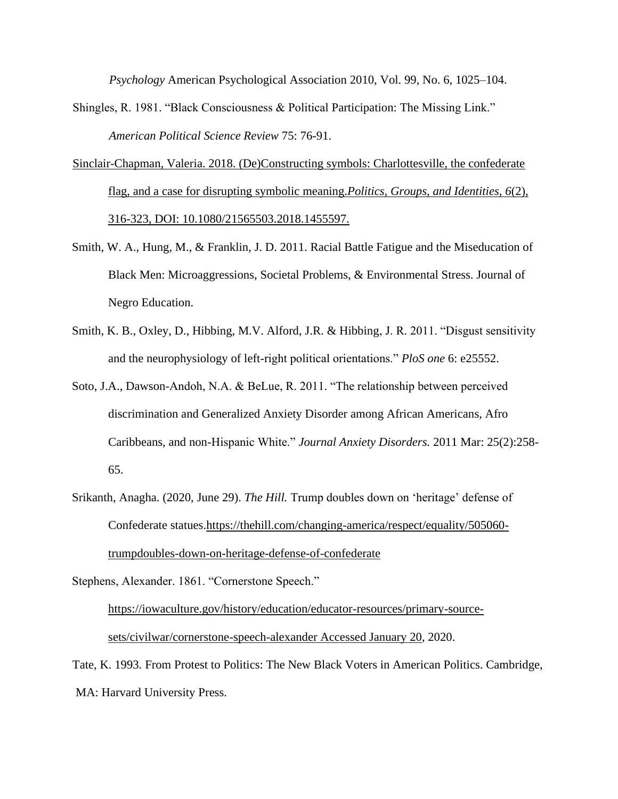*Psychology* American Psychological Association 2010, Vol. 99, No. 6, 1025–104.

- Shingles, R. 1981. "Black Consciousness & Political Participation: The Missing Link." *American Political Science Review* 75: 76-91.
- Sinclair-Chapman, Valeria. 2018. (De)Constructing symbols: Charlottesville, the confederate flag, and a case for disrupting symbolic meaning.*Politics, Groups, and Identities, 6*(2), 316-323, DOI: 10.1080/21565503.2018.1455597.
- Smith, W. A., Hung, M., & Franklin, J. D. 2011. Racial Battle Fatigue and the Miseducation of Black Men: Microaggressions, Societal Problems, & Environmental Stress. Journal of Negro Education.
- Smith, K. B., Oxley, D., Hibbing, M.V. Alford, J.R. & Hibbing, J. R. 2011. "Disgust sensitivity and the neurophysiology of left-right political orientations." *PloS one* 6: e25552.
- Soto, J.A., Dawson-Andoh, N.A. & BeLue, R. 2011. "The relationship between perceived discrimination and Generalized Anxiety Disorder among African Americans, Afro Caribbeans, and non-Hispanic White." *Journal Anxiety Disorders.* 2011 Mar: 25(2):258- 65.
- Srikanth, Anagha. (2020, June 29). *The Hill.* Trump doubles down on 'heritage' defense of Confederate statues.https://thehill.com/changing-america/respect/equality/505060 trumpdoubles-down-on-heritage-defense-of-confederate

Stephens, Alexander. 1861. "Cornerstone Speech."

https://iowaculture.gov/history/education/educator-resources/primary-sourcesets/civilwar/cornerstone-speech-alexander Accessed January 20, 2020.

Tate, K. 1993. From Protest to Politics: The New Black Voters in American Politics. Cambridge, MA: Harvard University Press.